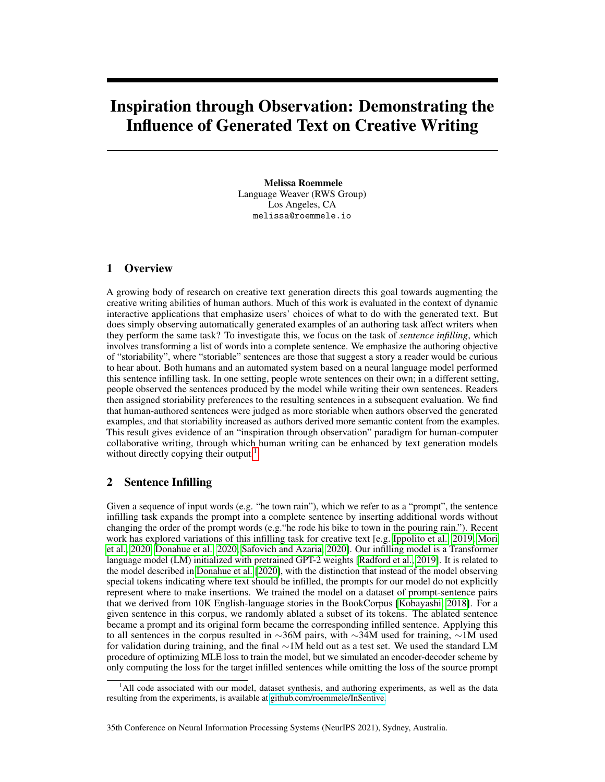# Inspiration through Observation: Demonstrating the Influence of Generated Text on Creative Writing

Melissa Roemmele Language Weaver (RWS Group) Los Angeles, CA melissa@roemmele.io

#### 1 Overview

A growing body of research on creative text generation directs this goal towards augmenting the creative writing abilities of human authors. Much of this work is evaluated in the context of dynamic interactive applications that emphasize users' choices of what to do with the generated text. But does simply observing automatically generated examples of an authoring task affect writers when they perform the same task? To investigate this, we focus on the task of *sentence infilling*, which involves transforming a list of words into a complete sentence. We emphasize the authoring objective of "storiability", where "storiable" sentences are those that suggest a story a reader would be curious to hear about. Both humans and an automated system based on a neural language model performed this sentence infilling task. In one setting, people wrote sentences on their own; in a different setting, people observed the sentences produced by the model while writing their own sentences. Readers then assigned storiability preferences to the resulting sentences in a subsequent evaluation. We find that human-authored sentences were judged as more storiable when authors observed the generated examples, and that storiability increased as authors derived more semantic content from the examples. This result gives evidence of an "inspiration through observation" paradigm for human-computer collaborative writing, through which human writing can be enhanced by text generation models without directly copying their output.<sup>[1](#page-0-0)</sup>

#### 2 Sentence Infilling

Given a sequence of input words (e.g. "he town rain"), which we refer to as a "prompt", the sentence infilling task expands the prompt into a complete sentence by inserting additional words without changing the order of the prompt words (e.g."he rode his bike to town in the pouring rain."). Recent work has explored variations of this infilling task for creative text [e.g. [Ippolito et al., 2019,](#page-2-0) [Mori](#page-2-1) [et al., 2020,](#page-2-1) [Donahue et al., 2020,](#page-2-2) [Safovich and Azaria, 2020\]](#page-2-3). Our infilling model is a Transformer language model (LM) initialized with pretrained GPT-2 weights [\[Radford et al., 2019\]](#page-2-4). It is related to the model described in [Donahue et al.](#page-2-2) [\[2020\]](#page-2-2), with the distinction that instead of the model observing special tokens indicating where text should be infilled, the prompts for our model do not explicitly represent where to make insertions. We trained the model on a dataset of prompt-sentence pairs that we derived from 10K English-language stories in the BookCorpus [\[Kobayashi, 2018\]](#page-2-5). For a given sentence in this corpus, we randomly ablated a subset of its tokens. The ablated sentence became a prompt and its original form became the corresponding infilled sentence. Applying this to all sentences in the corpus resulted in ∼36M pairs, with ∼34M used for training, ∼1M used for validation during training, and the final ∼1M held out as a test set. We used the standard LM procedure of optimizing MLE loss to train the model, but we simulated an encoder-decoder scheme by only computing the loss for the target infilled sentences while omitting the loss of the source prompt

<span id="page-0-0"></span><sup>&</sup>lt;sup>1</sup>All code associated with our model, dataset synthesis, and authoring experiments, as well as the data resulting from the experiments, is available at [github.com/roemmele/InSentive.](https://github.com/roemmele/InSentive)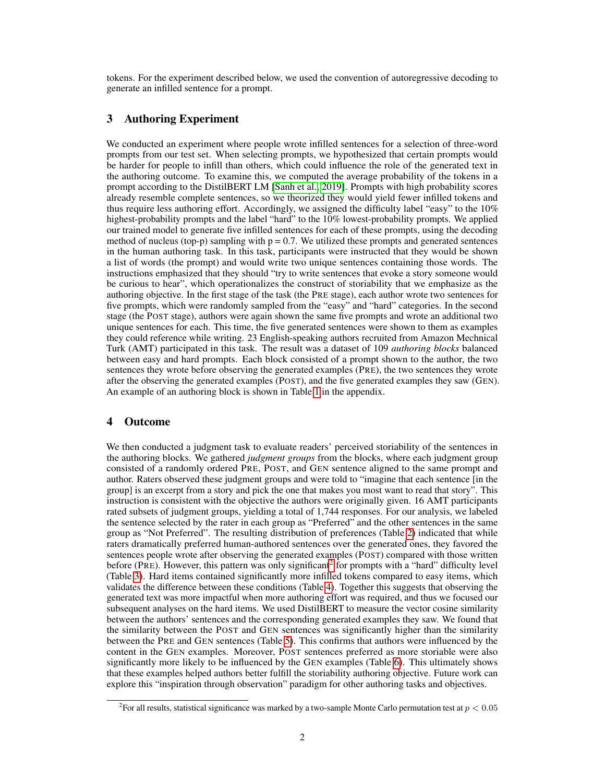tokens. For the experiment described below, we used the convention of autoregressive decoding to generate an infilled sentence for a prompt.

# 3 Authoring Experiment

We conducted an experiment where people wrote infilled sentences for a selection of three-word prompts from our test set. When selecting prompts, we hypothesized that certain prompts would be harder for people to infill than others, which could influence the role of the generated text in the authoring outcome. To examine this, we computed the average probability of the tokens in a prompt according to the DistilBERT LM [\[Sanh et al., 2019\]](#page-2-6). Prompts with high probability scores already resemble complete sentences, so we theorized they would yield fewer infilled tokens and thus require less authoring effort. Accordingly, we assigned the difficulty label "easy" to the 10% highest-probability prompts and the label "hard" to the 10% lowest-probability prompts. We applied our trained model to generate five infilled sentences for each of these prompts, using the decoding method of nucleus (top-p) sampling with  $p = 0.7$ . We utilized these prompts and generated sentences in the human authoring task. In this task, participants were instructed that they would be shown a list of words (the prompt) and would write two unique sentences containing those words. The instructions emphasized that they should "try to write sentences that evoke a story someone would be curious to hear", which operationalizes the construct of storiability that we emphasize as the authoring objective. In the first stage of the task (the PRE stage), each author wrote two sentences for five prompts, which were randomly sampled from the "easy" and "hard" categories. In the second stage (the POST stage), authors were again shown the same five prompts and wrote an additional two unique sentences for each. This time, the five generated sentences were shown to them as examples they could reference while writing. 23 English-speaking authors recruited from Amazon Mechnical Turk (AMT) participated in this task. The result was a dataset of 109 *authoring blocks* balanced between easy and hard prompts. Each block consisted of a prompt shown to the author, the two sentences they wrote before observing the generated examples (PRE), the two sentences they wrote after the observing the generated examples (POST), and the five generated examples they saw (GEN). An example of an authoring block is shown in Table [1](#page-2-7) in the appendix.

#### 4 Outcome

We then conducted a judgment task to evaluate readers' perceived storiability of the sentences in the authoring blocks. We gathered *judgment groups* from the blocks, where each judgment group consisted of a randomly ordered PRE, POST, and GEN sentence aligned to the same prompt and author. Raters observed these judgment groups and were told to "imagine that each sentence [in the group] is an excerpt from a story and pick the one that makes you most want to read that story". This instruction is consistent with the objective the authors were originally given. 16 AMT participants rated subsets of judgment groups, yielding a total of 1,744 responses. For our analysis, we labeled the sentence selected by the rater in each group as "Preferred" and the other sentences in the same group as "Not Preferred". The resulting distribution of preferences (Table [2\)](#page-3-0) indicated that while raters dramatically preferred human-authored sentences over the generated ones, they favored the sentences people wrote after observing the generated examples (POST) compared with those written before (PRE). However, this pattern was only significant<sup>[2](#page-1-0)</sup> for prompts with a "hard" difficulty level (Table [3\)](#page-3-1). Hard items contained significantly more infilled tokens compared to easy items, which validates the difference between these conditions (Table [4\)](#page-3-2). Together this suggests that observing the generated text was more impactful when more authoring effort was required, and thus we focused our subsequent analyses on the hard items. We used DistilBERT to measure the vector cosine similarity between the authors' sentences and the corresponding generated examples they saw. We found that the similarity between the POST and GEN sentences was significantly higher than the similarity between the PRE and GEN sentences (Table [5\)](#page-3-3). This confirms that authors were influenced by the content in the GEN examples. Moreover, POST sentences preferred as more storiable were also significantly more likely to be influenced by the GEN examples (Table [6\)](#page-3-4). This ultimately shows that these examples helped authors better fulfill the storiability authoring objective. Future work can explore this "inspiration through observation" paradigm for other authoring tasks and objectives.

<span id="page-1-0"></span><sup>&</sup>lt;sup>2</sup> For all results, statistical significance was marked by a two-sample Monte Carlo permutation test at  $p < 0.05$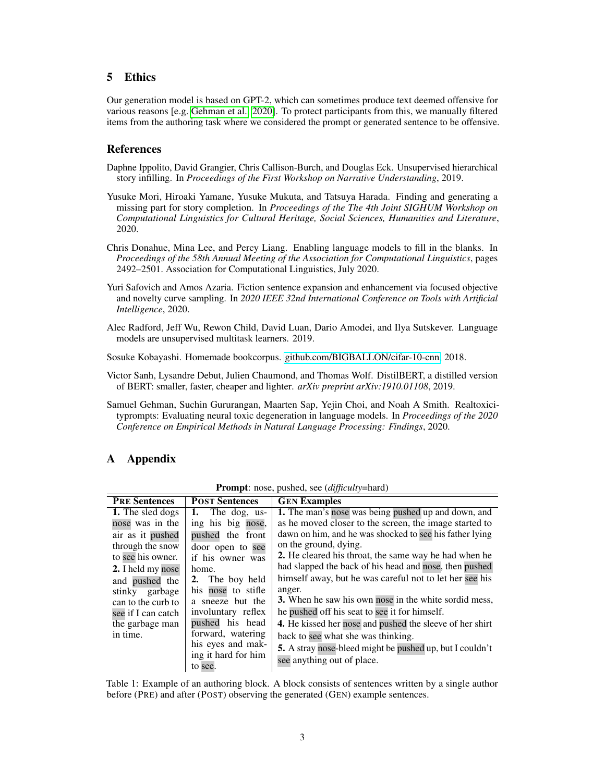## 5 Ethics

Our generation model is based on GPT-2, which can sometimes produce text deemed offensive for various reasons [e.g. [Gehman et al., 2020\]](#page-2-8). To protect participants from this, we manually filtered items from the authoring task where we considered the prompt or generated sentence to be offensive.

#### References

- <span id="page-2-0"></span>Daphne Ippolito, David Grangier, Chris Callison-Burch, and Douglas Eck. Unsupervised hierarchical story infilling. In *Proceedings of the First Workshop on Narrative Understanding*, 2019.
- <span id="page-2-1"></span>Yusuke Mori, Hiroaki Yamane, Yusuke Mukuta, and Tatsuya Harada. Finding and generating a missing part for story completion. In *Proceedings of the The 4th Joint SIGHUM Workshop on Computational Linguistics for Cultural Heritage, Social Sciences, Humanities and Literature*, 2020.
- <span id="page-2-2"></span>Chris Donahue, Mina Lee, and Percy Liang. Enabling language models to fill in the blanks. In *Proceedings of the 58th Annual Meeting of the Association for Computational Linguistics*, pages 2492–2501. Association for Computational Linguistics, July 2020.
- <span id="page-2-3"></span>Yuri Safovich and Amos Azaria. Fiction sentence expansion and enhancement via focused objective and novelty curve sampling. In *2020 IEEE 32nd International Conference on Tools with Artificial Intelligence*, 2020.
- <span id="page-2-4"></span>Alec Radford, Jeff Wu, Rewon Child, David Luan, Dario Amodei, and Ilya Sutskever. Language models are unsupervised multitask learners. 2019.

<span id="page-2-5"></span>Sosuke Kobayashi. Homemade bookcorpus. [github.com/BIGBALLON/cifar-10-cnn,](https://github.com/BIGBALLON/cifar-10-cnn) 2018.

- <span id="page-2-6"></span>Victor Sanh, Lysandre Debut, Julien Chaumond, and Thomas Wolf. DistilBERT, a distilled version of BERT: smaller, faster, cheaper and lighter. *arXiv preprint arXiv:1910.01108*, 2019.
- <span id="page-2-8"></span>Samuel Gehman, Suchin Gururangan, Maarten Sap, Yejin Choi, and Noah A Smith. Realtoxicityprompts: Evaluating neural toxic degeneration in language models. In *Proceedings of the 2020 Conference on Empirical Methods in Natural Language Processing: Findings*, 2020.

### A Appendix

| <b>PRE Sentences</b> | <b>POST Sentences</b> | <b>GEN Examples</b>                                          |
|----------------------|-----------------------|--------------------------------------------------------------|
| 1. The sled dogs     | 1. The dog, us-       | 1. The man's nose was being pushed up and down, and          |
| nose was in the      | ing his big nose,     | as he moved closer to the screen, the image started to       |
| air as it pushed     | pushed the front      | dawn on him, and he was shocked to see his father lying      |
| through the snow     | door open to see      | on the ground, dying.                                        |
| to see his owner.    | if his owner was      | <b>2.</b> He cleared his throat, the same way he had when he |
| 2. I held my nose    | home.                 | had slapped the back of his head and nose, then pushed       |
| and pushed the       | 2. The boy held       | himself away, but he was careful not to let her see his      |
| stinky garbage       | his nose to stifle    | anger.                                                       |
| can to the curb to   | a sneeze but the      | 3. When he saw his own nose in the white sordid mess,        |
| see if I can catch   | involuntary reflex    | he pushed off his seat to see it for himself.                |
| the garbage man      | pushed his head       | 4. He kissed her nose and pushed the sleeve of her shirt     |
| in time.             | forward, watering     | back to see what she was thinking.                           |
|                      | his eyes and mak-     | 5. A stray nose-bleed might be pushed up, but I couldn't     |
|                      | ing it hard for him   | see anything out of place.                                   |
|                      | to see.               |                                                              |

Prompt: nose, pushed, see (*difficulty*=hard)

<span id="page-2-7"></span>Table 1: Example of an authoring block. A block consists of sentences written by a single author before (PRE) and after (POST) observing the generated (GEN) example sentences.